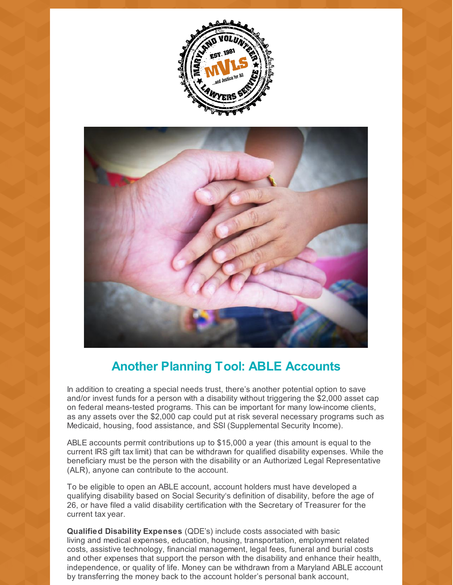



## **Another Planning Tool: ABLE Accounts**

In addition to creating a special needs trust, there's another potential option to save and/or invest funds for a person with a disability without triggering the \$2,000 asset cap on federal means-tested programs. This can be important for many low-income clients, as any assets over the \$2,000 cap could put at risk several necessary programs such as Medicaid, housing, food assistance, and SSI (Supplemental Security Income).

ABLE accounts permit contributions up to \$15,000 a year (this amount is equal to the current IRS gift tax limit) that can be withdrawn for qualified disability expenses. While the beneficiary must be the person with the disability or an Authorized Legal Representative (ALR), anyone can contribute to the account.

To be eligible to open an ABLE account, account holders must have developed a qualifying disability based on Social Security's definition of disability, before the age of 26, or have filed a valid disability certification with the Secretary of Treasurer for the current tax year.

**Qualified Disability Expenses** (QDE's) include costs associated with basic living and medical expenses, education, housing, transportation, employment related costs, assistive technology, financial management, legal fees, funeral and burial costs and other expenses that support the person with the disability and enhance their health, independence, or quality of life. Money can be withdrawn from a Maryland ABLE account by transferring the money back to the account holder's personal bank account,